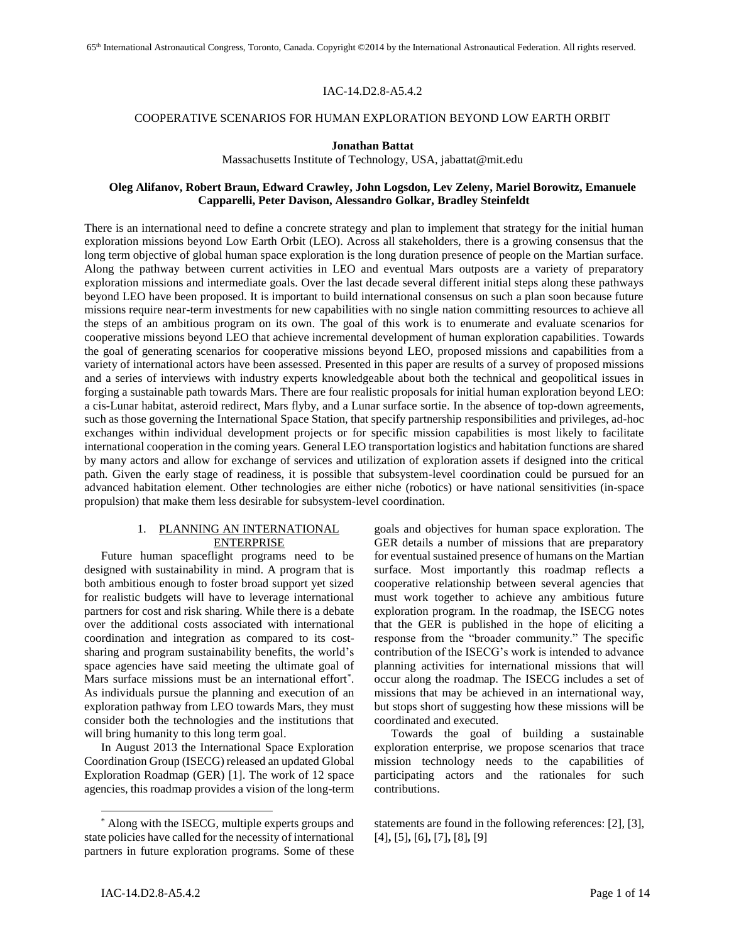### IAC-14.D2.8-A5.4.2

#### COOPERATIVE SCENARIOS FOR HUMAN EXPLORATION BEYOND LOW EARTH ORBIT

### **Jonathan Battat**

Massachusetts Institute of Technology, USA, jabattat@mit.edu

## **Oleg Alifanov, Robert Braun, Edward Crawley, John Logsdon, Lev Zeleny, Mariel Borowitz, Emanuele Capparelli, Peter Davison, Alessandro Golkar, Bradley Steinfeldt**

There is an international need to define a concrete strategy and plan to implement that strategy for the initial human exploration missions beyond Low Earth Orbit (LEO). Across all stakeholders, there is a growing consensus that the long term objective of global human space exploration is the long duration presence of people on the Martian surface. Along the pathway between current activities in LEO and eventual Mars outposts are a variety of preparatory exploration missions and intermediate goals. Over the last decade several different initial steps along these pathways beyond LEO have been proposed. It is important to build international consensus on such a plan soon because future missions require near-term investments for new capabilities with no single nation committing resources to achieve all the steps of an ambitious program on its own. The goal of this work is to enumerate and evaluate scenarios for cooperative missions beyond LEO that achieve incremental development of human exploration capabilities. Towards the goal of generating scenarios for cooperative missions beyond LEO, proposed missions and capabilities from a variety of international actors have been assessed. Presented in this paper are results of a survey of proposed missions and a series of interviews with industry experts knowledgeable about both the technical and geopolitical issues in forging a sustainable path towards Mars. There are four realistic proposals for initial human exploration beyond LEO: a cis-Lunar habitat, asteroid redirect, Mars flyby, and a Lunar surface sortie. In the absence of top-down agreements, such as those governing the International Space Station, that specify partnership responsibilities and privileges, ad-hoc exchanges within individual development projects or for specific mission capabilities is most likely to facilitate international cooperation in the coming years. General LEO transportation logistics and habitation functions are shared by many actors and allow for exchange of services and utilization of exploration assets if designed into the critical path. Given the early stage of readiness, it is possible that subsystem-level coordination could be pursued for an advanced habitation element. Other technologies are either niche (robotics) or have national sensitivities (in-space propulsion) that make them less desirable for subsystem-level coordination.

# 1. PLANNING AN INTERNATIONAL ENTERPRISE

Future human spaceflight programs need to be designed with sustainability in mind. A program that is both ambitious enough to foster broad support yet sized for realistic budgets will have to leverage international partners for cost and risk sharing. While there is a debate over the additional costs associated with international coordination and integration as compared to its costsharing and program sustainability benefits, the world's space agencies have said meeting the ultimate goal of Mars surface missions must be an international effort\* . As individuals pursue the planning and execution of an exploration pathway from LEO towards Mars, they must consider both the technologies and the institutions that will bring humanity to this long term goal.

In August 2013 the International Space Exploration Coordination Group (ISECG) released an updated Global Exploration Roadmap (GER) [1]. The work of 12 space agencies, this roadmap provides a vision of the long-term goals and objectives for human space exploration. The GER details a number of missions that are preparatory for eventual sustained presence of humans on the Martian surface. Most importantly this roadmap reflects a cooperative relationship between several agencies that must work together to achieve any ambitious future exploration program. In the roadmap, the ISECG notes that the GER is published in the hope of eliciting a response from the "broader community." The specific contribution of the ISECG's work is intended to advance planning activities for international missions that will occur along the roadmap. The ISECG includes a set of missions that may be achieved in an international way, but stops short of suggesting how these missions will be coordinated and executed.

Towards the goal of building a sustainable exploration enterprise, we propose scenarios that trace mission technology needs to the capabilities of participating actors and the rationales for such contributions.

<sup>\*</sup> Along with the ISECG, multiple experts groups and state policies have called for the necessity of international partners in future exploration programs. Some of these

statements are found in the following references: [2], [3], [4]**,** [5]**,** [6]**,** [7]**,** [8]**,** [9]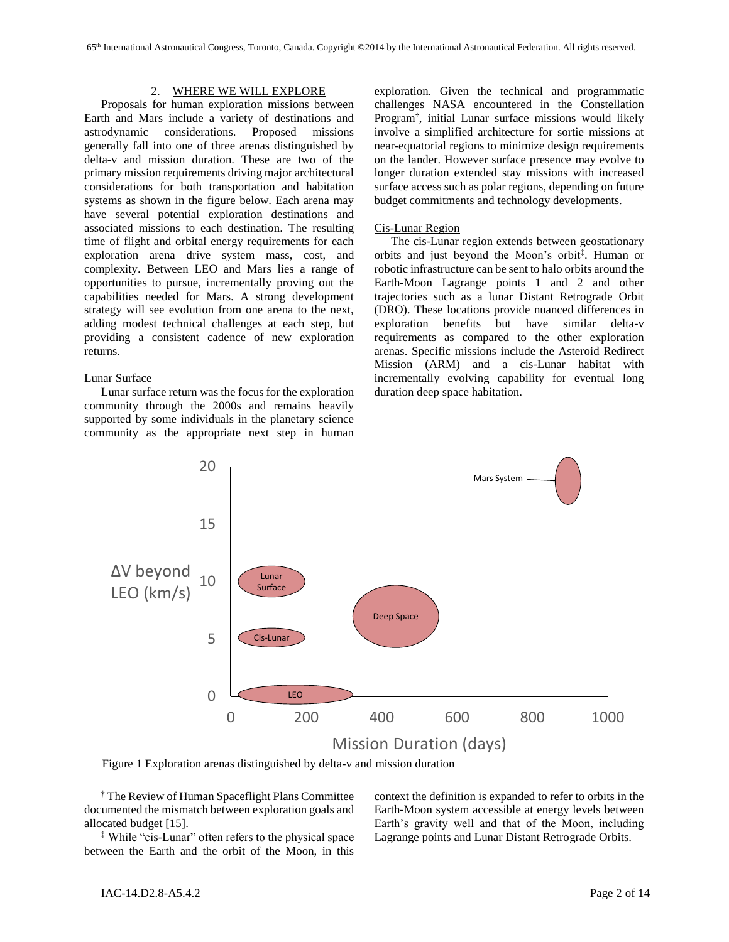#### 2. WHERE WE WILL EXPLORE

Proposals for human exploration missions between Earth and Mars include a variety of destinations and astrodynamic considerations. Proposed missions generally fall into one of three arenas distinguished by delta-v and mission duration. These are two of the primary mission requirements driving major architectural considerations for both transportation and habitation systems as shown in the figure below. Each arena may have several potential exploration destinations and associated missions to each destination. The resulting time of flight and orbital energy requirements for each exploration arena drive system mass, cost, and complexity. Between LEO and Mars lies a range of opportunities to pursue, incrementally proving out the capabilities needed for Mars. A strong development strategy will see evolution from one arena to the next, adding modest technical challenges at each step, but providing a consistent cadence of new exploration returns.

#### Lunar Surface

Lunar surface return was the focus for the exploration community through the 2000s and remains heavily supported by some individuals in the planetary science community as the appropriate next step in human exploration. Given the technical and programmatic challenges NASA encountered in the Constellation Program† , initial Lunar surface missions would likely involve a simplified architecture for sortie missions at near-equatorial regions to minimize design requirements on the lander. However surface presence may evolve to longer duration extended stay missions with increased surface access such as polar regions, depending on future budget commitments and technology developments.

### Cis-Lunar Region

The cis-Lunar region extends between geostationary orbits and just beyond the Moon's orbit‡ . Human or robotic infrastructure can be sent to halo orbits around the Earth-Moon Lagrange points 1 and 2 and other trajectories such as a lunar Distant Retrograde Orbit (DRO). These locations provide nuanced differences in exploration benefits but have similar delta-v requirements as compared to the other exploration arenas. Specific missions include the Asteroid Redirect Mission (ARM) and a cis-Lunar habitat with incrementally evolving capability for eventual long duration deep space habitation.



Figure 1 Exploration arenas distinguished by delta-v and mission duration

context the definition is expanded to refer to orbits in the Earth-Moon system accessible at energy levels between Earth's gravity well and that of the Moon, including Lagrange points and Lunar Distant Retrograde Orbits.

<sup>†</sup> The Review of Human Spaceflight Plans Committee documented the mismatch between exploration goals and allocated budget [15].

<sup>‡</sup> While "cis-Lunar" often refers to the physical space between the Earth and the orbit of the Moon, in this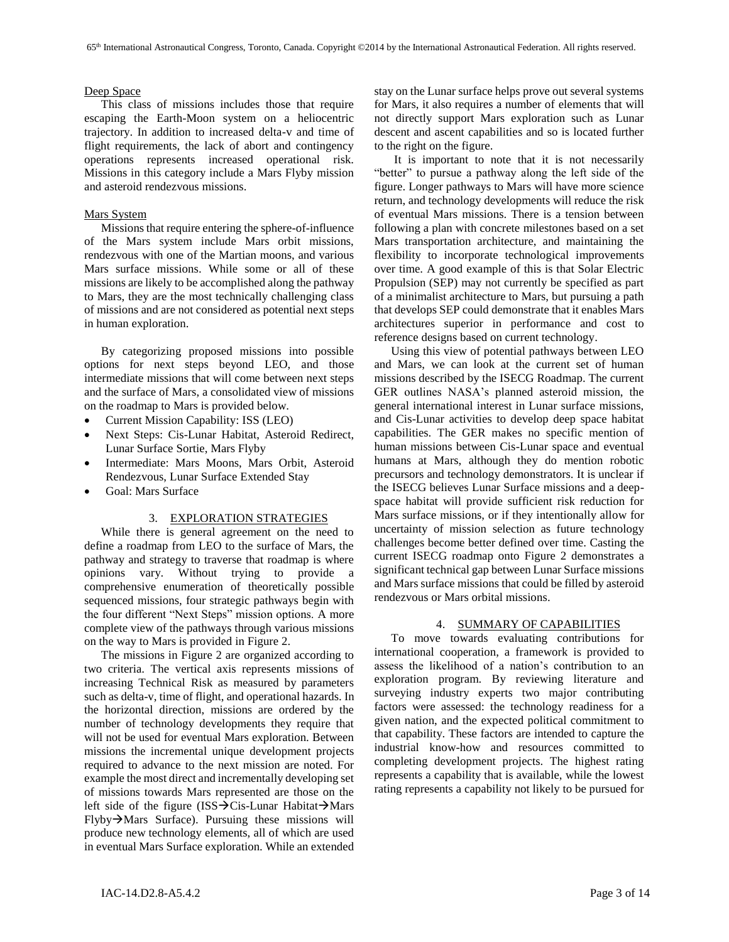### Deep Space

This class of missions includes those that require escaping the Earth-Moon system on a heliocentric trajectory. In addition to increased delta-v and time of flight requirements, the lack of abort and contingency operations represents increased operational risk. Missions in this category include a Mars Flyby mission and asteroid rendezvous missions.

## Mars System

Missions that require entering the sphere-of-influence of the Mars system include Mars orbit missions, rendezvous with one of the Martian moons, and various Mars surface missions. While some or all of these missions are likely to be accomplished along the pathway to Mars, they are the most technically challenging class of missions and are not considered as potential next steps in human exploration.

By categorizing proposed missions into possible options for next steps beyond LEO, and those intermediate missions that will come between next steps and the surface of Mars, a consolidated view of missions on the roadmap to Mars is provided below.

- Current Mission Capability: ISS (LEO)
- Next Steps: Cis-Lunar Habitat, Asteroid Redirect, Lunar Surface Sortie, Mars Flyby
- Intermediate: Mars Moons, Mars Orbit, Asteroid Rendezvous, Lunar Surface Extended Stay
- Goal: Mars Surface

#### 3. EXPLORATION STRATEGIES

While there is general agreement on the need to define a roadmap from LEO to the surface of Mars, the pathway and strategy to traverse that roadmap is where opinions vary. Without trying to provide a comprehensive enumeration of theoretically possible sequenced missions, four strategic pathways begin with the four different "Next Steps" mission options. A more complete view of the pathways through various missions on the way to Mars is provided in [Figure 2.](#page-3-0)

The missions in [Figure 2](#page-3-0) are organized according to two criteria. The vertical axis represents missions of increasing Technical Risk as measured by parameters such as delta-v, time of flight, and operational hazards. In the horizontal direction, missions are ordered by the number of technology developments they require that will not be used for eventual Mars exploration. Between missions the incremental unique development projects required to advance to the next mission are noted. For example the most direct and incrementally developing set of missions towards Mars represented are those on the left side of the figure (ISS $\rightarrow$ Cis-Lunar Habitat $\rightarrow$ Mars  $Flyby \rightarrow Mars$  Surface). Pursuing these missions will produce new technology elements, all of which are used in eventual Mars Surface exploration. While an extended stay on the Lunar surface helps prove out several systems for Mars, it also requires a number of elements that will not directly support Mars exploration such as Lunar descent and ascent capabilities and so is located further to the right on the figure.

It is important to note that it is not necessarily "better" to pursue a pathway along the left side of the figure. Longer pathways to Mars will have more science return, and technology developments will reduce the risk of eventual Mars missions. There is a tension between following a plan with concrete milestones based on a set Mars transportation architecture, and maintaining the flexibility to incorporate technological improvements over time. A good example of this is that Solar Electric Propulsion (SEP) may not currently be specified as part of a minimalist architecture to Mars, but pursuing a path that develops SEP could demonstrate that it enables Mars architectures superior in performance and cost to reference designs based on current technology.

Using this view of potential pathways between LEO and Mars, we can look at the current set of human missions described by the ISECG Roadmap. The current GER outlines NASA's planned asteroid mission, the general international interest in Lunar surface missions, and Cis-Lunar activities to develop deep space habitat capabilities. The GER makes no specific mention of human missions between Cis-Lunar space and eventual humans at Mars, although they do mention robotic precursors and technology demonstrators. It is unclear if the ISECG believes Lunar Surface missions and a deepspace habitat will provide sufficient risk reduction for Mars surface missions, or if they intentionally allow for uncertainty of mission selection as future technology challenges become better defined over time. Casting the current ISECG roadmap onto [Figure 2](#page-3-0) demonstrates a significant technical gap between Lunar Surface missions and Mars surface missions that could be filled by asteroid rendezvous or Mars orbital missions.

### 4. SUMMARY OF CAPABILITIES

To move towards evaluating contributions for international cooperation, a framework is provided to assess the likelihood of a nation's contribution to an exploration program. By reviewing literature and surveying industry experts two major contributing factors were assessed: the technology readiness for a given nation, and the expected political commitment to that capability. These factors are intended to capture the industrial know-how and resources committed to completing development projects. The highest rating represents a capability that is available, while the lowest rating represents a capability not likely to be pursued for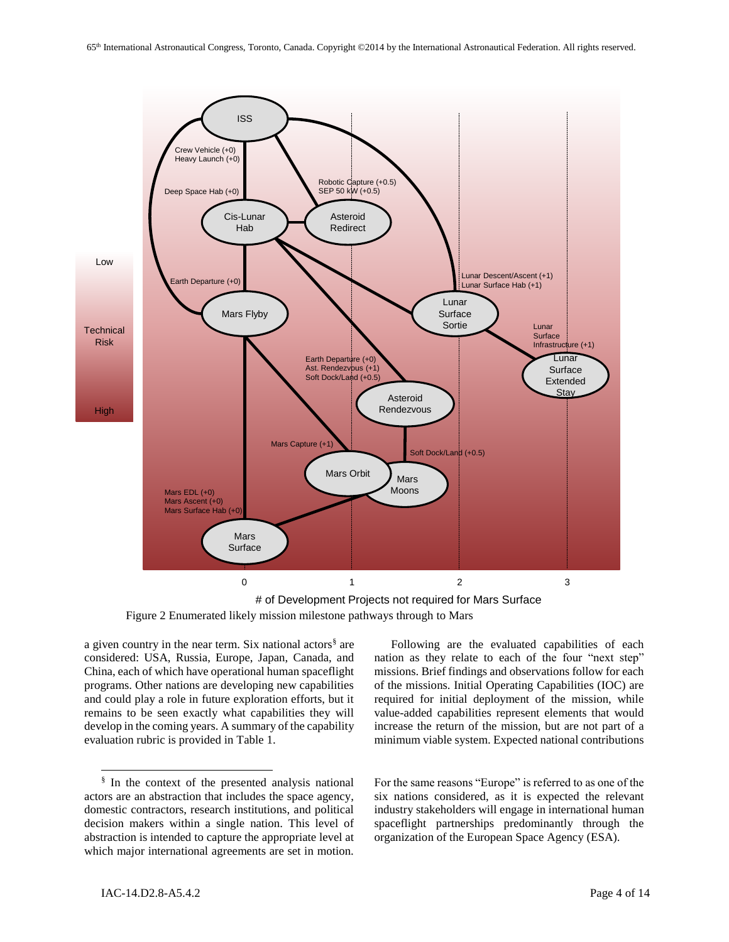

<span id="page-3-0"></span># of Development Projects not required for Mars Surface Figure 2 Enumerated likely mission milestone pathways through to Mars

a given country in the near term. Six national actors<sup>§</sup> are considered: USA, Russia, Europe, Japan, Canada, and China, each of which have operational human spaceflight programs. Other nations are developing new capabilities and could play a role in future exploration efforts, but it remains to be seen exactly what capabilities they will develop in the coming years. A summary of the capability evaluation rubric is provided in [Table 1.](#page-4-0)

Following are the evaluated capabilities of each nation as they relate to each of the four "next step" missions. Brief findings and observations follow for each of the missions. Initial Operating Capabilities (IOC) are required for initial deployment of the mission, while value-added capabilities represent elements that would increase the return of the mission, but are not part of a minimum viable system. Expected national contributions

For the same reasons "Europe" is referred to as one of the six nations considered, as it is expected the relevant industry stakeholders will engage in international human spaceflight partnerships predominantly through the organization of the European Space Agency (ESA).

<sup>§</sup> In the context of the presented analysis national actors are an abstraction that includes the space agency, domestic contractors, research institutions, and political decision makers within a single nation. This level of abstraction is intended to capture the appropriate level at which major international agreements are set in motion.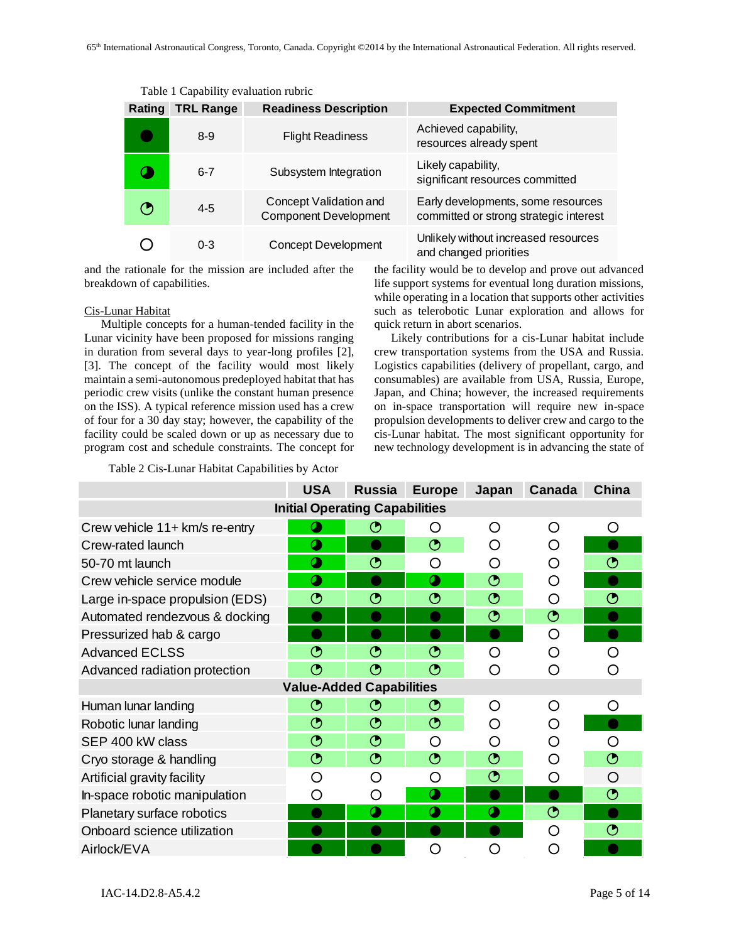<span id="page-4-0"></span>

| Rating | <b>TRL Range</b> | <b>Readiness Description</b>                           | <b>Expected Commitment</b>                                                   |
|--------|------------------|--------------------------------------------------------|------------------------------------------------------------------------------|
|        | $8-9$            | <b>Flight Readiness</b>                                | Achieved capability,<br>resources already spent                              |
|        | $6 - 7$          | Subsystem Integration                                  | Likely capability,<br>significant resources committed                        |
|        | $4 - 5$          | Concept Validation and<br><b>Component Development</b> | Early developments, some resources<br>committed or strong strategic interest |
|        | $0 - 3$          | <b>Concept Development</b>                             | Unlikely without increased resources<br>and changed priorities               |

Table 1 Capability evaluation rubric

and the rationale for the mission are included after the breakdown of capabilities.

### Cis-Lunar Habitat

Multiple concepts for a human-tended facility in the Lunar vicinity have been proposed for missions ranging in duration from several days to year-long profiles [2], [3]. The concept of the facility would most likely maintain a semi-autonomous predeployed habitat that has periodic crew visits (unlike the constant human presence on the ISS). A typical reference mission used has a crew of four for a 30 day stay; however, the capability of the facility could be scaled down or up as necessary due to program cost and schedule constraints. The concept for

Table 2 Cis-Lunar Habitat Capabilities by Actor

the facility would be to develop and prove out advanced life support systems for eventual long duration missions, while operating in a location that supports other activities such as telerobotic Lunar exploration and allows for quick return in abort scenarios.

Likely contributions for a cis-Lunar habitat include crew transportation systems from the USA and Russia. Logistics capabilities (delivery of propellant, cargo, and consumables) are available from USA, Russia, Europe, Japan, and China; however, the increased requirements on in-space transportation will require new in-space propulsion developments to deliver crew and cargo to the cis-Lunar habitat. The most significant opportunity for new technology development is in advancing the state of

|                                       | <b>USA</b> | <b>Russia</b>         | <b>Europe</b>         | Japan   | Canada            | China |  |
|---------------------------------------|------------|-----------------------|-----------------------|---------|-------------------|-------|--|
| <b>Initial Operating Capabilities</b> |            |                       |                       |         |                   |       |  |
| Crew vehicle 11+ km/s re-entry        |            | 的                     | ∩                     | ∩       | ∩                 | ∩     |  |
| Crew-rated launch                     | σ          |                       | ◔                     | ( )     | ◯                 |       |  |
| 50-70 mt launch                       | σ          | ᠿ                     | O                     | O       | ∩                 | ◔     |  |
| Crew vehicle service module           |            |                       | $\alpha$              | $\odot$ | ∩                 |       |  |
| Large in-space propulsion (EDS)       | ◔          | ᠿ                     | ◔                     | ◔       | ∩                 | ◔     |  |
| Automated rendezvous & docking        |            |                       |                       | $\odot$ | $\odot$           |       |  |
| Pressurized hab & cargo               |            |                       |                       |         | O                 |       |  |
| <b>Advanced ECLSS</b>                 | ◔          | ᠿ                     | ᠿ                     | O       | ∩                 | ◯     |  |
| Advanced radiation protection         | ᠿ          | ᠿ                     | ◔                     | ◯       | ◯                 |       |  |
| <b>Value-Added Capabilities</b>       |            |                       |                       |         |                   |       |  |
| Human lunar landing                   | ᠿ          | ᠿ                     | ◔                     | ∩       | ∩                 | ∩     |  |
| Robotic lunar landing                 | ◔          | $\odot$               | ◔                     | ∩       | ∩                 |       |  |
| SEP 400 kW class                      | $\odot$    | ◔                     | ∩                     | ◯       | ∩                 | O     |  |
| Cryo storage & handling               | ◔          | $\odot$               | ◔                     | ◔       | ∩                 | ◔     |  |
| Artificial gravity facility           | Ω          | ( )                   | Ω                     | ᠿ       | ∩                 | ◯     |  |
| In-space robotic manipulation         | ( )        | ( )                   | $\boldsymbol{a}$      |         |                   | ᠿ     |  |
| Planetary surface robotics            |            | $\boldsymbol{\alpha}$ | $\boldsymbol{\alpha}$ | σ       | $\mathbf{\Theta}$ |       |  |
| Onboard science utilization           |            |                       |                       |         | ∩                 | ◔     |  |
| Airlock/EVA                           |            |                       | 〔 〕                   | O       | Ω                 |       |  |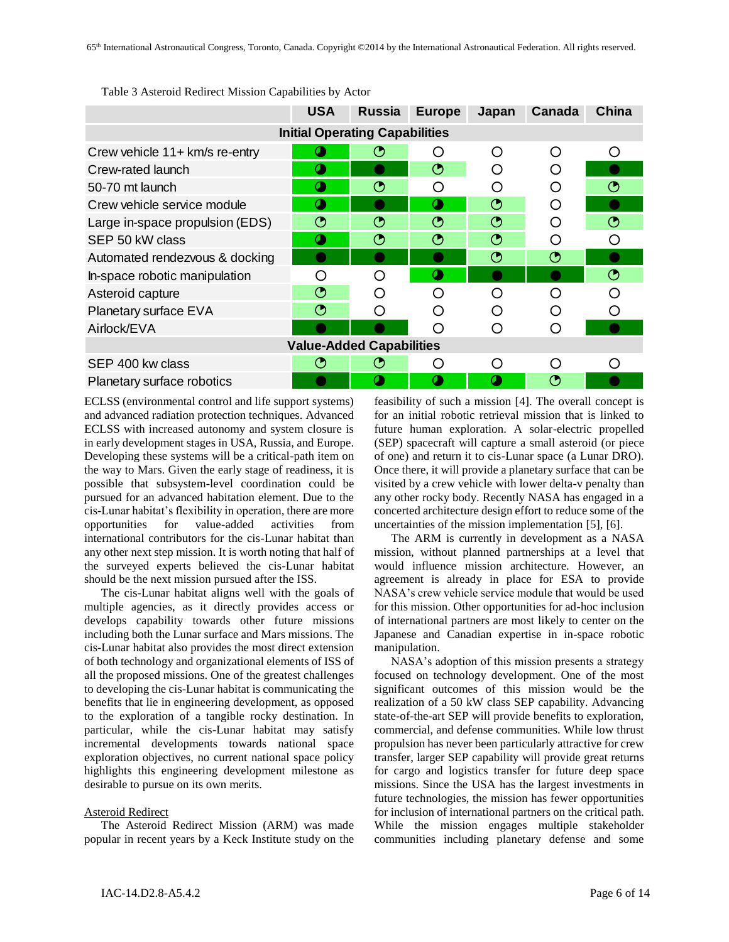|                                       | <b>USA</b> | <b>Russia</b> | <b>Europe</b> | Japan     | Canada | China   |  |
|---------------------------------------|------------|---------------|---------------|-----------|--------|---------|--|
| <b>Initial Operating Capabilities</b> |            |               |               |           |        |         |  |
| Crew vehicle 11+ km/s re-entry        |            | (၂            | ◯             | ∩         | ∩      | ◯       |  |
| Crew-rated launch                     |            |               | ◔             | $\bigcap$ | O      |         |  |
| 50-70 mt launch                       | σ          | ◔             | ∩             | ∩         | ∩      | ᠿ       |  |
| Crew vehicle service module           |            |               | $\sigma$      | $\odot$   | ∩      |         |  |
| Large in-space propulsion (EDS)       |            | ᠿ             | ᠿ             | ⊙         | Ω      | ⊙       |  |
| SEP 50 kW class                       | a          | ◔             | ◔             | $\odot$   | ∩      | ∩       |  |
| Automated rendezvous & docking        |            |               |               | $\odot$   | ᠿ      |         |  |
| In-space robotic manipulation         | ( )        | O             |               |           |        | $\odot$ |  |
| Asteroid capture                      | ◔          | ◯             | ∩             | ∩         | ∩      | ∩       |  |
| Planetary surface EVA                 | ⊙          | ∩             | ∩             | ∩         | ∩      | ∩       |  |
| Airlock/EVA                           |            |               | ∩             | ∩         | ∩      |         |  |
| <b>Value-Added Capabilities</b>       |            |               |               |           |        |         |  |
| SEP 400 kw class                      | ᠿ          | Θ             | ∩             | ∩         | ∩      | ◯       |  |
| Planetary surface robotics            |            | σ             | 0             | 0         | ᠿ      |         |  |

Table 3 Asteroid Redirect Mission Capabilities by Actor

ECLSS (environmental control and life support systems) and advanced radiation protection techniques. Advanced ECLSS with increased autonomy and system closure is in early development stages in USA, Russia, and Europe. Developing these systems will be a critical-path item on the way to Mars. Given the early stage of readiness, it is possible that subsystem-level coordination could be pursued for an advanced habitation element. Due to the cis-Lunar habitat's flexibility in operation, there are more opportunities for value-added activities from international contributors for the cis-Lunar habitat than any other next step mission. It is worth noting that half of the surveyed experts believed the cis-Lunar habitat should be the next mission pursued after the ISS.

The cis-Lunar habitat aligns well with the goals of multiple agencies, as it directly provides access or develops capability towards other future missions including both the Lunar surface and Mars missions. The cis-Lunar habitat also provides the most direct extension of both technology and organizational elements of ISS of all the proposed missions. One of the greatest challenges to developing the cis-Lunar habitat is communicating the benefits that lie in engineering development, as opposed to the exploration of a tangible rocky destination. In particular, while the cis-Lunar habitat may satisfy incremental developments towards national space exploration objectives, no current national space policy highlights this engineering development milestone as desirable to pursue on its own merits.

### Asteroid Redirect

The Asteroid Redirect Mission (ARM) was made popular in recent years by a Keck Institute study on the feasibility of such a mission [4]. The overall concept is for an initial robotic retrieval mission that is linked to future human exploration. A solar-electric propelled (SEP) spacecraft will capture a small asteroid (or piece of one) and return it to cis-Lunar space (a Lunar DRO). Once there, it will provide a planetary surface that can be visited by a crew vehicle with lower delta-v penalty than any other rocky body. Recently NASA has engaged in a concerted architecture design effort to reduce some of the uncertainties of the mission implementation [5], [6].

The ARM is currently in development as a NASA mission, without planned partnerships at a level that would influence mission architecture. However, an agreement is already in place for ESA to provide NASA's crew vehicle service module that would be used for this mission. Other opportunities for ad-hoc inclusion of international partners are most likely to center on the Japanese and Canadian expertise in in-space robotic manipulation.

NASA's adoption of this mission presents a strategy focused on technology development. One of the most significant outcomes of this mission would be the realization of a 50 kW class SEP capability. Advancing state-of-the-art SEP will provide benefits to exploration, commercial, and defense communities. While low thrust propulsion has never been particularly attractive for crew transfer, larger SEP capability will provide great returns for cargo and logistics transfer for future deep space missions. Since the USA has the largest investments in future technologies, the mission has fewer opportunities for inclusion of international partners on the critical path. While the mission engages multiple stakeholder communities including planetary defense and some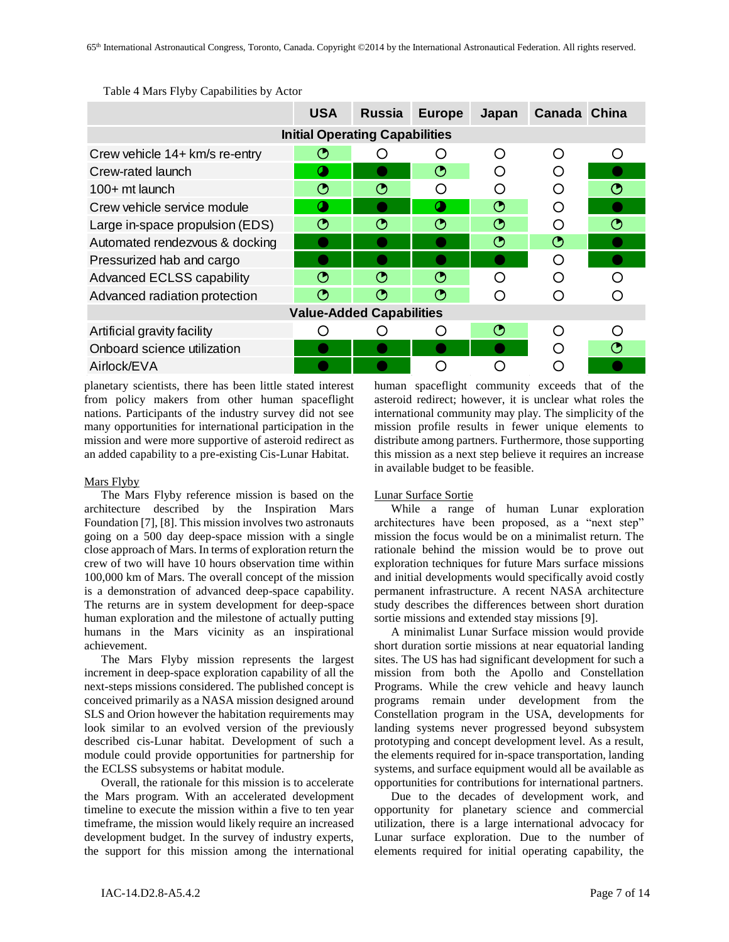|                                  | <b>USA</b> | <b>Russia</b>                         | <b>Europe</b> | Japan | Canada China |   |
|----------------------------------|------------|---------------------------------------|---------------|-------|--------------|---|
|                                  |            | <b>Initial Operating Capabilities</b> |               |       |              |   |
| Crew vehicle 14+ km/s re-entry   | ᠿ          |                                       | ( )           | ∩     | ∩            | ∩ |
| Crew-rated launch                |            |                                       | ᠿ             |       | ∩            |   |
| $100+$ mt launch                 | ൚          | ◑                                     | ∩             | ( )   | ∩            | Ο |
| Crew vehicle service module      |            |                                       |               | ᠿ     | ∩            |   |
| Large in-space propulsion (EDS)  | ᠿ          | 0                                     | ᠿ             | ☎     | ∩            | ᠿ |
| Automated rendezvous & docking   |            |                                       |               | ᠿ     | $\odot$      |   |
| Pressurized hab and cargo        |            |                                       |               |       | Ω            |   |
| <b>Advanced ECLSS capability</b> | ᠿ          | ᠿ                                     | ᠿ             | ∩     | ∩            |   |
| Advanced radiation protection    | (5         | (5                                    | ᠿ             |       |              |   |
| <b>Value-Added Capabilities</b>  |            |                                       |               |       |              |   |
| Artificial gravity facility      |            |                                       | ( )           | ᠿ     | ∩            | ∩ |
| Onboard science utilization      |            |                                       |               |       | ∩            | ᠿ |
| Airlock/EVA                      |            |                                       |               |       |              |   |

Table 4 Mars Flyby Capabilities by Actor

planetary scientists, there has been little stated interest from policy makers from other human spaceflight nations. Participants of the industry survey did not see many opportunities for international participation in the mission and were more supportive of asteroid redirect as an added capability to a pre-existing Cis-Lunar Habitat.

## Mars Flyby

The Mars Flyby reference mission is based on the architecture described by the Inspiration Mars Foundation [7], [8]. This mission involves two astronauts going on a 500 day deep-space mission with a single close approach of Mars. In terms of exploration return the crew of two will have 10 hours observation time within 100,000 km of Mars. The overall concept of the mission is a demonstration of advanced deep-space capability. The returns are in system development for deep-space human exploration and the milestone of actually putting humans in the Mars vicinity as an inspirational achievement.

The Mars Flyby mission represents the largest increment in deep-space exploration capability of all the next-steps missions considered. The published concept is conceived primarily as a NASA mission designed around SLS and Orion however the habitation requirements may look similar to an evolved version of the previously described cis-Lunar habitat. Development of such a module could provide opportunities for partnership for the ECLSS subsystems or habitat module.

Overall, the rationale for this mission is to accelerate the Mars program. With an accelerated development timeline to execute the mission within a five to ten year timeframe, the mission would likely require an increased development budget. In the survey of industry experts, the support for this mission among the international

human spaceflight community exceeds that of the asteroid redirect; however, it is unclear what roles the international community may play. The simplicity of the mission profile results in fewer unique elements to distribute among partners. Furthermore, those supporting this mission as a next step believe it requires an increase in available budget to be feasible.

## Lunar Surface Sortie

While a range of human Lunar exploration architectures have been proposed, as a "next step" mission the focus would be on a minimalist return. The rationale behind the mission would be to prove out exploration techniques for future Mars surface missions and initial developments would specifically avoid costly permanent infrastructure. A recent NASA architecture study describes the differences between short duration sortie missions and extended stay missions [9].

A minimalist Lunar Surface mission would provide short duration sortie missions at near equatorial landing sites. The US has had significant development for such a mission from both the Apollo and Constellation Programs. While the crew vehicle and heavy launch programs remain under development from the Constellation program in the USA, developments for landing systems never progressed beyond subsystem prototyping and concept development level. As a result, the elements required for in-space transportation, landing systems, and surface equipment would all be available as opportunities for contributions for international partners.

Due to the decades of development work, and opportunity for planetary science and commercial utilization, there is a large international advocacy for Lunar surface exploration. Due to the number of elements required for initial operating capability, the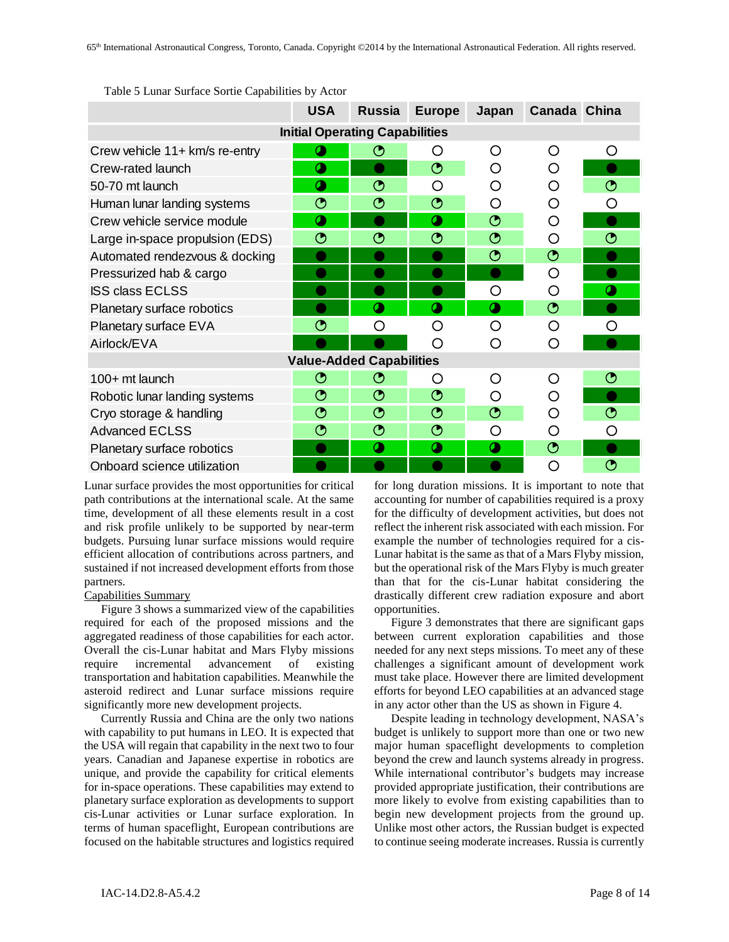|                                       | <b>USA</b> | <b>Russia</b> | <b>Europe</b> | Japan             | Canada China      |                   |  |
|---------------------------------------|------------|---------------|---------------|-------------------|-------------------|-------------------|--|
| <b>Initial Operating Capabilities</b> |            |               |               |                   |                   |                   |  |
| Crew vehicle 11+ km/s re-entry        | σ          | ᠿ             | O             | ∩                 | O                 | O                 |  |
| Crew-rated launch                     | σ          |               | $\odot$       | ∩                 | O                 |                   |  |
| 50-70 mt launch                       | Œ          | ◔             | ∩             | ◯                 | Ω                 | $\mathfrak{G}$    |  |
| Human lunar landing systems           | ◔          | ◔             | $\odot$       | ∩                 | Ω                 | Ω                 |  |
| Crew vehicle service module           | σ          |               | $\bullet$     | $\mathbf{\Theta}$ | O                 |                   |  |
| Large in-space propulsion (EDS)       | ◔          | ◔             | ◔             | ◔                 | O                 | ◔                 |  |
| Automated rendezvous & docking        |            |               |               | $\mathbf{\Theta}$ | $\odot$           |                   |  |
| Pressurized hab & cargo               |            |               |               |                   | O                 |                   |  |
| <b>ISS class ECLSS</b>                |            |               |               | O                 | O                 |                   |  |
| Planetary surface robotics            |            | $\mathbf 0$   | $\bullet$     | $\bullet$         | $\mathbf{\Theta}$ |                   |  |
| <b>Planetary surface EVA</b>          | ◔          | O             | Ω             | ◯                 | O                 | O                 |  |
| Airlock/EVA                           |            |               | ∩             | ◯                 | O                 |                   |  |
| <b>Value-Added Capabilities</b>       |            |               |               |                   |                   |                   |  |
| 100+ mt launch                        | ◔          | ◔             | Ω             | Ω                 | O                 | ◔                 |  |
| Robotic lunar landing systems         | ◔          | ◔             | $\odot$       | ∩                 | Ω                 |                   |  |
| Cryo storage & handling               | ◔          | ◔             | $\odot$       | ◔                 | ∩                 | ◔                 |  |
| <b>Advanced ECLSS</b>                 | ◔          | ◔             | $\odot$       | ∩                 | O                 | ∩                 |  |
| Planetary surface robotics            |            | $\bullet$     | $\bullet$     | $\bullet$         | $\odot$           |                   |  |
| Onboard science utilization           |            |               |               |                   | O                 | $\mathbf{\Theta}$ |  |

Table 5 Lunar Surface Sortie Capabilities by Actor

Lunar surface provides the most opportunities for critical path contributions at the international scale. At the same time, development of all these elements result in a cost and risk profile unlikely to be supported by near-term budgets. Pursuing lunar surface missions would require efficient allocation of contributions across partners, and sustained if not increased development efforts from those partners.

### Capabilities Summary

[Figure 3](#page-8-0) shows a summarized view of the capabilities required for each of the proposed missions and the aggregated readiness of those capabilities for each actor. Overall the cis-Lunar habitat and Mars Flyby missions require incremental advancement of existing transportation and habitation capabilities. Meanwhile the asteroid redirect and Lunar surface missions require significantly more new development projects.

Currently Russia and China are the only two nations with capability to put humans in LEO. It is expected that the USA will regain that capability in the next two to four years. Canadian and Japanese expertise in robotics are unique, and provide the capability for critical elements for in-space operations. These capabilities may extend to planetary surface exploration as developments to support cis-Lunar activities or Lunar surface exploration. In terms of human spaceflight, European contributions are focused on the habitable structures and logistics required

for long duration missions. It is important to note that accounting for number of capabilities required is a proxy for the difficulty of development activities, but does not reflect the inherent risk associated with each mission. For example the number of technologies required for a cis-Lunar habitat is the same as that of a Mars Flyby mission, but the operational risk of the Mars Flyby is much greater than that for the cis-Lunar habitat considering the drastically different crew radiation exposure and abort opportunities.

[Figure 3](#page-8-0) demonstrates that there are significant gaps between current exploration capabilities and those needed for any next steps missions. To meet any of these challenges a significant amount of development work must take place. However there are limited development efforts for beyond LEO capabilities at an advanced stage in any actor other than the US as shown i[n Figure 4.](#page-9-0)

Despite leading in technology development, NASA's budget is unlikely to support more than one or two new major human spaceflight developments to completion beyond the crew and launch systems already in progress. While international contributor's budgets may increase provided appropriate justification, their contributions are more likely to evolve from existing capabilities than to begin new development projects from the ground up. Unlike most other actors, the Russian budget is expected to continue seeing moderate increases. Russia is currently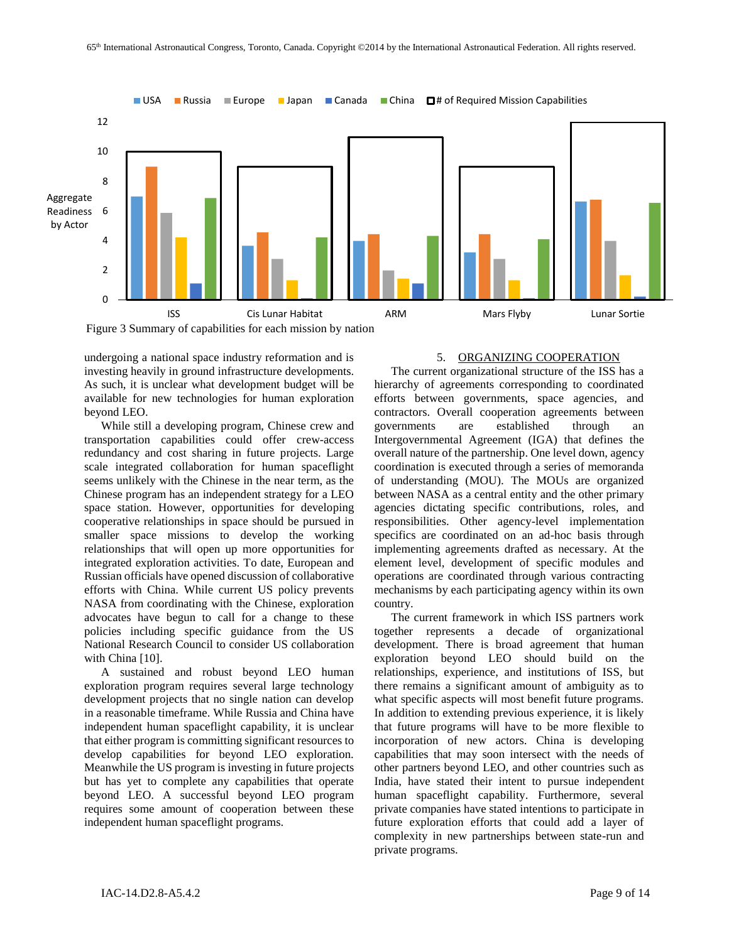

<span id="page-8-0"></span>undergoing a national space industry reformation and is investing heavily in ground infrastructure developments. As such, it is unclear what development budget will be available for new technologies for human exploration beyond LEO.

While still a developing program, Chinese crew and transportation capabilities could offer crew-access redundancy and cost sharing in future projects. Large scale integrated collaboration for human spaceflight seems unlikely with the Chinese in the near term, as the Chinese program has an independent strategy for a LEO space station. However, opportunities for developing cooperative relationships in space should be pursued in smaller space missions to develop the working relationships that will open up more opportunities for integrated exploration activities. To date, European and Russian officials have opened discussion of collaborative efforts with China. While current US policy prevents NASA from coordinating with the Chinese, exploration advocates have begun to call for a change to these policies including specific guidance from the US National Research Council to consider US collaboration with China [10].

A sustained and robust beyond LEO human exploration program requires several large technology development projects that no single nation can develop in a reasonable timeframe. While Russia and China have independent human spaceflight capability, it is unclear that either program is committing significant resources to develop capabilities for beyond LEO exploration. Meanwhile the US program is investing in future projects but has yet to complete any capabilities that operate beyond LEO. A successful beyond LEO program requires some amount of cooperation between these independent human spaceflight programs.

### 5. ORGANIZING COOPERATION

The current organizational structure of the ISS has a hierarchy of agreements corresponding to coordinated efforts between governments, space agencies, and contractors. Overall cooperation agreements between governments are established through an Intergovernmental Agreement (IGA) that defines the overall nature of the partnership. One level down, agency coordination is executed through a series of memoranda of understanding (MOU). The MOUs are organized between NASA as a central entity and the other primary agencies dictating specific contributions, roles, and responsibilities. Other agency-level implementation specifics are coordinated on an ad-hoc basis through implementing agreements drafted as necessary. At the element level, development of specific modules and operations are coordinated through various contracting mechanisms by each participating agency within its own country.

The current framework in which ISS partners work together represents a decade of organizational development. There is broad agreement that human exploration beyond LEO should build on the relationships, experience, and institutions of ISS, but there remains a significant amount of ambiguity as to what specific aspects will most benefit future programs. In addition to extending previous experience, it is likely that future programs will have to be more flexible to incorporation of new actors. China is developing capabilities that may soon intersect with the needs of other partners beyond LEO, and other countries such as India, have stated their intent to pursue independent human spaceflight capability. Furthermore, several private companies have stated intentions to participate in future exploration efforts that could add a layer of complexity in new partnerships between state-run and private programs.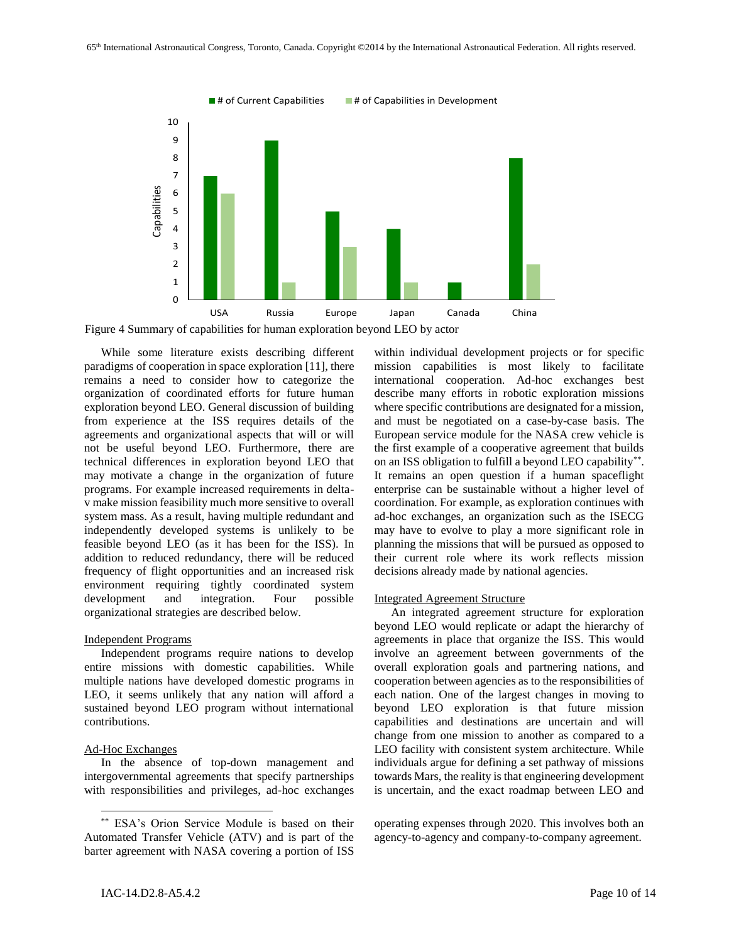

<span id="page-9-0"></span>Figure 4 Summary of capabilities for human exploration beyond LEO by actor

While some literature exists describing different paradigms of cooperation in space exploration [11], there remains a need to consider how to categorize the organization of coordinated efforts for future human exploration beyond LEO. General discussion of building from experience at the ISS requires details of the agreements and organizational aspects that will or will not be useful beyond LEO. Furthermore, there are technical differences in exploration beyond LEO that may motivate a change in the organization of future programs. For example increased requirements in deltav make mission feasibility much more sensitive to overall system mass. As a result, having multiple redundant and independently developed systems is unlikely to be feasible beyond LEO (as it has been for the ISS). In addition to reduced redundancy, there will be reduced frequency of flight opportunities and an increased risk environment requiring tightly coordinated system development and integration. Four possible organizational strategies are described below.

### Independent Programs

Independent programs require nations to develop entire missions with domestic capabilities. While multiple nations have developed domestic programs in LEO, it seems unlikely that any nation will afford a sustained beyond LEO program without international contributions.

#### Ad-Hoc Exchanges

l

In the absence of top-down management and intergovernmental agreements that specify partnerships with responsibilities and privileges, ad-hoc exchanges

within individual development projects or for specific mission capabilities is most likely to facilitate international cooperation. Ad-hoc exchanges best describe many efforts in robotic exploration missions where specific contributions are designated for a mission, and must be negotiated on a case-by-case basis. The European service module for the NASA crew vehicle is the first example of a cooperative agreement that builds on an ISS obligation to fulfill a beyond LEO capability\*\* . It remains an open question if a human spaceflight enterprise can be sustainable without a higher level of coordination. For example, as exploration continues with ad-hoc exchanges, an organization such as the ISECG may have to evolve to play a more significant role in planning the missions that will be pursued as opposed to their current role where its work reflects mission decisions already made by national agencies.

#### Integrated Agreement Structure

An integrated agreement structure for exploration beyond LEO would replicate or adapt the hierarchy of agreements in place that organize the ISS. This would involve an agreement between governments of the overall exploration goals and partnering nations, and cooperation between agencies as to the responsibilities of each nation. One of the largest changes in moving to beyond LEO exploration is that future mission capabilities and destinations are uncertain and will change from one mission to another as compared to a LEO facility with consistent system architecture. While individuals argue for defining a set pathway of missions towards Mars, the reality is that engineering development is uncertain, and the exact roadmap between LEO and

<sup>\*\*</sup> ESA's Orion Service Module is based on their Automated Transfer Vehicle (ATV) and is part of the barter agreement with NASA covering a portion of ISS

operating expenses through 2020. This involves both an agency-to-agency and company-to-company agreement.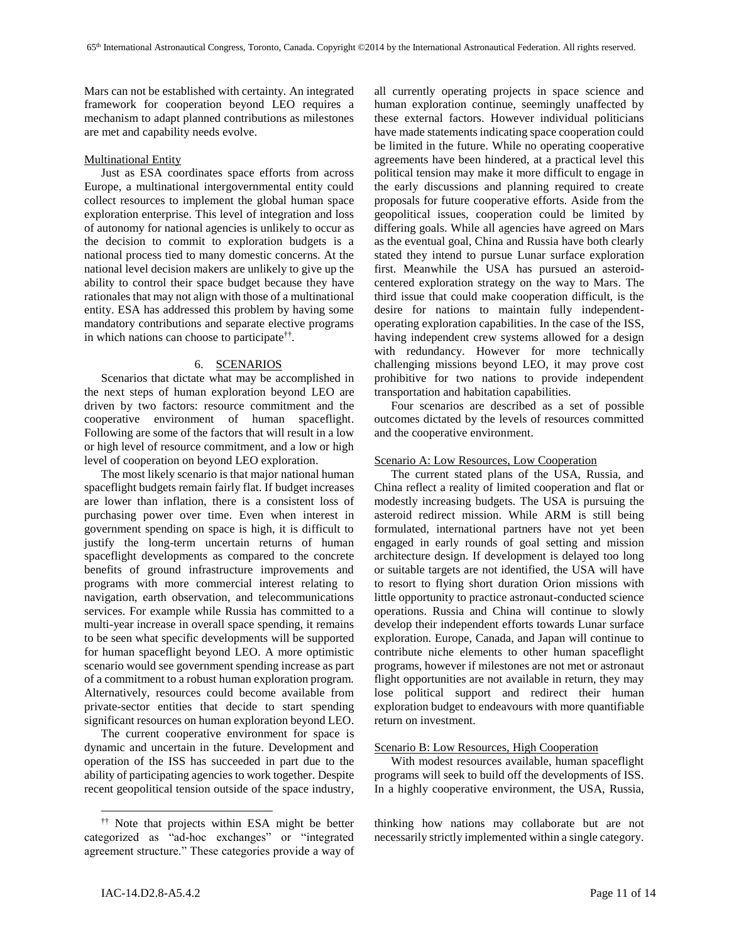Mars can not be established with certainty. An integrated framework for cooperation beyond LEO requires a mechanism to adapt planned contributions as milestones are met and capability needs evolve.

## Multinational Entity

Just as ESA coordinates space efforts from across Europe, a multinational intergovernmental entity could collect resources to implement the global human space exploration enterprise. This level of integration and loss of autonomy for national agencies is unlikely to occur as the decision to commit to exploration budgets is a national process tied to many domestic concerns. At the national level decision makers are unlikely to give up the ability to control their space budget because they have rationales that may not align with those of a multinational entity. ESA has addressed this problem by having some mandatory contributions and separate elective programs in which nations can choose to participate†† .

## 6. SCENARIOS

Scenarios that dictate what may be accomplished in the next steps of human exploration beyond LEO are driven by two factors: resource commitment and the cooperative environment of human spaceflight. Following are some of the factors that will result in a low or high level of resource commitment, and a low or high level of cooperation on beyond LEO exploration.

The most likely scenario is that major national human spaceflight budgets remain fairly flat. If budget increases are lower than inflation, there is a consistent loss of purchasing power over time. Even when interest in government spending on space is high, it is difficult to justify the long-term uncertain returns of human spaceflight developments as compared to the concrete benefits of ground infrastructure improvements and programs with more commercial interest relating to navigation, earth observation, and telecommunications services. For example while Russia has committed to a multi-year increase in overall space spending, it remains to be seen what specific developments will be supported for human spaceflight beyond LEO. A more optimistic scenario would see government spending increase as part of a commitment to a robust human exploration program. Alternatively, resources could become available from private-sector entities that decide to start spending significant resources on human exploration beyond LEO.

The current cooperative environment for space is dynamic and uncertain in the future. Development and operation of the ISS has succeeded in part due to the ability of participating agencies to work together. Despite recent geopolitical tension outside of the space industry, all currently operating projects in space science and human exploration continue, seemingly unaffected by these external factors. However individual politicians have made statements indicating space cooperation could be limited in the future. While no operating cooperative agreements have been hindered, at a practical level this political tension may make it more difficult to engage in the early discussions and planning required to create proposals for future cooperative efforts. Aside from the geopolitical issues, cooperation could be limited by differing goals. While all agencies have agreed on Mars as the eventual goal, China and Russia have both clearly stated they intend to pursue Lunar surface exploration first. Meanwhile the USA has pursued an asteroidcentered exploration strategy on the way to Mars. The third issue that could make cooperation difficult, is the desire for nations to maintain fully independentoperating exploration capabilities. In the case of the ISS, having independent crew systems allowed for a design with redundancy. However for more technically challenging missions beyond LEO, it may prove cost prohibitive for two nations to provide independent transportation and habitation capabilities.

Four scenarios are described as a set of possible outcomes dictated by the levels of resources committed and the cooperative environment.

## Scenario A: Low Resources, Low Cooperation

The current stated plans of the USA, Russia, and China reflect a reality of limited cooperation and flat or modestly increasing budgets. The USA is pursuing the asteroid redirect mission. While ARM is still being formulated, international partners have not yet been engaged in early rounds of goal setting and mission architecture design. If development is delayed too long or suitable targets are not identified, the USA will have to resort to flying short duration Orion missions with little opportunity to practice astronaut-conducted science operations. Russia and China will continue to slowly develop their independent efforts towards Lunar surface exploration. Europe, Canada, and Japan will continue to contribute niche elements to other human spaceflight programs, however if milestones are not met or astronaut flight opportunities are not available in return, they may lose political support and redirect their human exploration budget to endeavours with more quantifiable return on investment.

## Scenario B: Low Resources, High Cooperation

With modest resources available, human spaceflight programs will seek to build off the developments of ISS. In a highly cooperative environment, the USA, Russia,

thinking how nations may collaborate but are not necessarily strictly implemented within a single category.

<sup>††</sup> Note that projects within ESA might be better categorized as "ad-hoc exchanges" or "integrated agreement structure." These categories provide a way of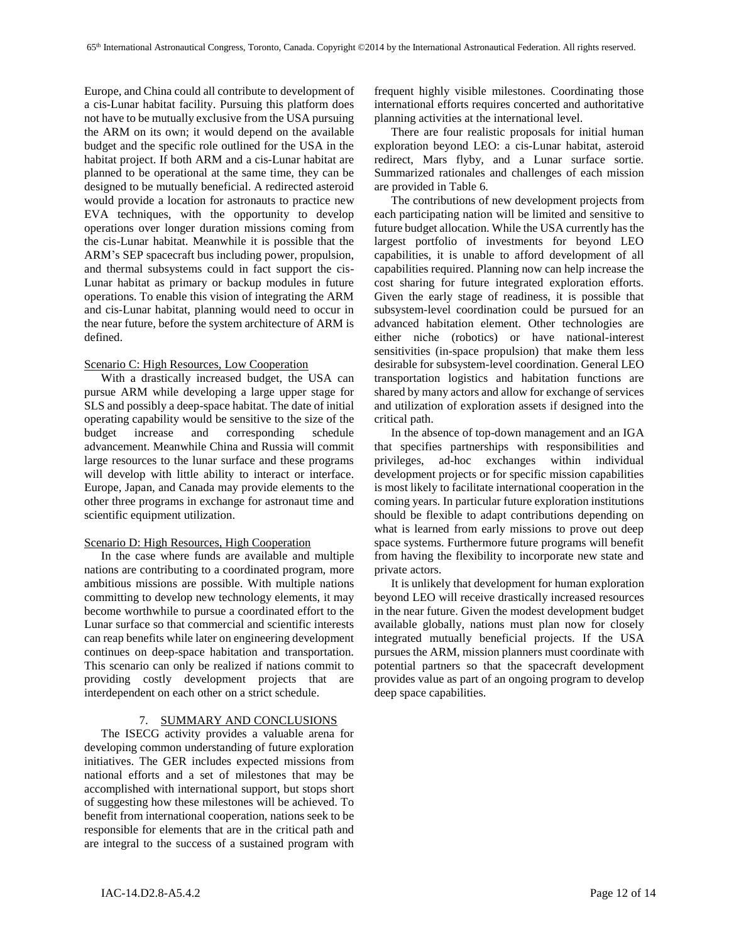Europe, and China could all contribute to development of a cis-Lunar habitat facility. Pursuing this platform does not have to be mutually exclusive from the USA pursuing the ARM on its own; it would depend on the available budget and the specific role outlined for the USA in the habitat project. If both ARM and a cis-Lunar habitat are planned to be operational at the same time, they can be designed to be mutually beneficial. A redirected asteroid would provide a location for astronauts to practice new EVA techniques, with the opportunity to develop operations over longer duration missions coming from the cis-Lunar habitat. Meanwhile it is possible that the ARM's SEP spacecraft bus including power, propulsion, and thermal subsystems could in fact support the cis-Lunar habitat as primary or backup modules in future operations. To enable this vision of integrating the ARM and cis-Lunar habitat, planning would need to occur in the near future, before the system architecture of ARM is defined.

### Scenario C: High Resources, Low Cooperation

With a drastically increased budget, the USA can pursue ARM while developing a large upper stage for SLS and possibly a deep-space habitat. The date of initial operating capability would be sensitive to the size of the budget increase and corresponding schedule advancement. Meanwhile China and Russia will commit large resources to the lunar surface and these programs will develop with little ability to interact or interface. Europe, Japan, and Canada may provide elements to the other three programs in exchange for astronaut time and scientific equipment utilization.

## Scenario D: High Resources, High Cooperation

In the case where funds are available and multiple nations are contributing to a coordinated program, more ambitious missions are possible. With multiple nations committing to develop new technology elements, it may become worthwhile to pursue a coordinated effort to the Lunar surface so that commercial and scientific interests can reap benefits while later on engineering development continues on deep-space habitation and transportation. This scenario can only be realized if nations commit to providing costly development projects that are interdependent on each other on a strict schedule.

#### 7. SUMMARY AND CONCLUSIONS

The ISECG activity provides a valuable arena for developing common understanding of future exploration initiatives. The GER includes expected missions from national efforts and a set of milestones that may be accomplished with international support, but stops short of suggesting how these milestones will be achieved. To benefit from international cooperation, nations seek to be responsible for elements that are in the critical path and are integral to the success of a sustained program with

frequent highly visible milestones. Coordinating those international efforts requires concerted and authoritative planning activities at the international level.

There are four realistic proposals for initial human exploration beyond LEO: a cis-Lunar habitat, asteroid redirect, Mars flyby, and a Lunar surface sortie. Summarized rationales and challenges of each mission are provided i[n Table 6.](#page-12-0)

The contributions of new development projects from each participating nation will be limited and sensitive to future budget allocation. While the USA currently has the largest portfolio of investments for beyond LEO capabilities, it is unable to afford development of all capabilities required. Planning now can help increase the cost sharing for future integrated exploration efforts. Given the early stage of readiness, it is possible that subsystem-level coordination could be pursued for an advanced habitation element. Other technologies are either niche (robotics) or have national-interest sensitivities (in-space propulsion) that make them less desirable for subsystem-level coordination. General LEO transportation logistics and habitation functions are shared by many actors and allow for exchange of services and utilization of exploration assets if designed into the critical path.

In the absence of top-down management and an IGA that specifies partnerships with responsibilities and privileges, ad-hoc exchanges within individual development projects or for specific mission capabilities is most likely to facilitate international cooperation in the coming years. In particular future exploration institutions should be flexible to adapt contributions depending on what is learned from early missions to prove out deep space systems. Furthermore future programs will benefit from having the flexibility to incorporate new state and private actors.

It is unlikely that development for human exploration beyond LEO will receive drastically increased resources in the near future. Given the modest development budget available globally, nations must plan now for closely integrated mutually beneficial projects. If the USA pursues the ARM, mission planners must coordinate with potential partners so that the spacecraft development provides value as part of an ongoing program to develop deep space capabilities.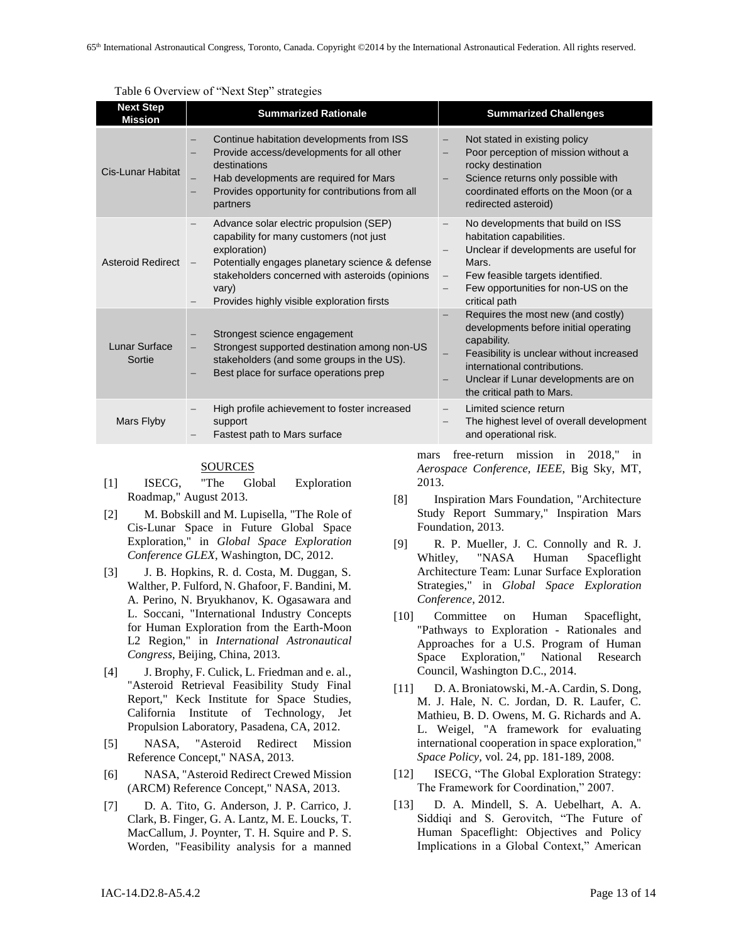<span id="page-12-0"></span>

| <b>Next Step</b><br><b>Mission</b> | <b>Summarized Rationale</b>                                                                                                                                                                                                                                     | <b>Summarized Challenges</b>                                                                                                                                                                                                                 |  |  |  |
|------------------------------------|-----------------------------------------------------------------------------------------------------------------------------------------------------------------------------------------------------------------------------------------------------------------|----------------------------------------------------------------------------------------------------------------------------------------------------------------------------------------------------------------------------------------------|--|--|--|
| Cis-Lunar Habitat                  | Continue habitation developments from ISS<br>Provide access/developments for all other<br>destinations<br>Hab developments are required for Mars<br>Provides opportunity for contributions from all<br>partners                                                 | Not stated in existing policy<br>Poor perception of mission without a<br>rocky destination<br>Science returns only possible with<br>coordinated efforts on the Moon (or a<br>redirected asteroid)                                            |  |  |  |
| Asteroid Redirect                  | Advance solar electric propulsion (SEP)<br>capability for many customers (not just<br>exploration)<br>Potentially engages planetary science & defense<br>stakeholders concerned with asteroids (opinions<br>vary)<br>Provides highly visible exploration firsts | No developments that build on ISS<br>habitation capabilities.<br>Unclear if developments are useful for<br>Mars.<br>Few feasible targets identified.<br>$\qquad \qquad -$<br>Few opportunities for non-US on the<br>critical path            |  |  |  |
| Lunar Surface<br>Sortie            | Strongest science engagement<br>Strongest supported destination among non-US<br>stakeholders (and some groups in the US).<br>Best place for surface operations prep                                                                                             | Requires the most new (and costly)<br>developments before initial operating<br>capability.<br>Feasibility is unclear without increased<br>international contributions.<br>Unclear if Lunar developments are on<br>the critical path to Mars. |  |  |  |
| Mars Flyby                         | High profile achievement to foster increased<br>support<br>Fastest path to Mars surface                                                                                                                                                                         | Limited science return<br>The highest level of overall development<br>and operational risk.                                                                                                                                                  |  |  |  |

Table 6 Overview of "Next Step" strategies

### SOURCES

- [1] ISECG, "The Global Exploration Roadmap," August 2013.
- [2] M. Bobskill and M. Lupisella, "The Role of Cis-Lunar Space in Future Global Space Exploration," in *Global Space Exploration Conference GLEX*, Washington, DC, 2012.
- [3] J. B. Hopkins, R. d. Costa, M. Duggan, S. Walther, P. Fulford, N. Ghafoor, F. Bandini, M. A. Perino, N. Bryukhanov, K. Ogasawara and L. Soccani, "International Industry Concepts for Human Exploration from the Earth-Moon L2 Region," in *International Astronautical Congress*, Beijing, China, 2013.
- [4] J. Brophy, F. Culick, L. Friedman and e. al., "Asteroid Retrieval Feasibility Study Final Report," Keck Institute for Space Studies, California Institute of Technology, Jet Propulsion Laboratory, Pasadena, CA, 2012.
- [5] NASA, "Asteroid Redirect Mission Reference Concept," NASA, 2013.
- [6] NASA, "Asteroid Redirect Crewed Mission (ARCM) Reference Concept," NASA, 2013.
- [7] D. A. Tito, G. Anderson, J. P. Carrico, J. Clark, B. Finger, G. A. Lantz, M. E. Loucks, T. MacCallum, J. Poynter, T. H. Squire and P. S. Worden, "Feasibility analysis for a manned

mars free-return mission in 2018," in *Aerospace Conference, IEEE*, Big Sky, MT, 2013.

- [8] Inspiration Mars Foundation, "Architecture Study Report Summary," Inspiration Mars Foundation, 2013.
- [9] R. P. Mueller, J. C. Connolly and R. J. Whitley, "NASA Human Spaceflight Architecture Team: Lunar Surface Exploration Strategies," in *Global Space Exploration Conference*, 2012.
- [10] Committee on Human Spaceflight, "Pathways to Exploration - Rationales and Approaches for a U.S. Program of Human Space Exploration," National Research Council, Washington D.C., 2014.
- [11] D. A. Broniatowski, M.-A. Cardin, S. Dong, M. J. Hale, N. C. Jordan, D. R. Laufer, C. Mathieu, B. D. Owens, M. G. Richards and A. L. Weigel, "A framework for evaluating international cooperation in space exploration," *Space Policy,* vol. 24, pp. 181-189, 2008.
- [12] ISECG, "The Global Exploration Strategy: The Framework for Coordination," 2007.
- [13] D. A. Mindell, S. A. Uebelhart, A. A. Siddiqi and S. Gerovitch, "The Future of Human Spaceflight: Objectives and Policy Implications in a Global Context," American